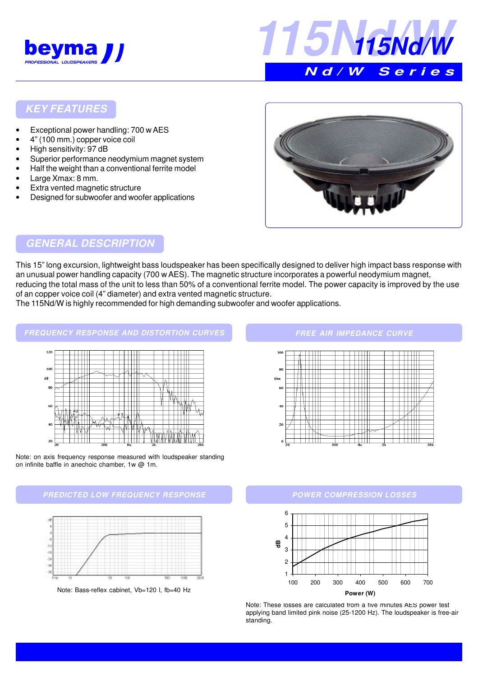



### **KEY FEATURES**

- Exceptional power handling: 700 w AES
- 4" (100 mm.) copper voice coil
- High sensitivity: 97 dB
- Superior performance neodymium magnet system
- Half the weight than a conventional ferrite model
- Large Xmax: 8 mm.
- Extra vented magnetic structure
- Designed for subwoofer and woofer applications



## **GENERAL DESCRIPTION**

This 15" long excursion, lightweight bass loudspeaker has been specifically designed to deliver high impact bass response with an unusual power handling capacity (700 w AES). The magnetic structure incorporates a powerful neodymium magnet, reducing the total mass of the unit to less than 50% of a conventional ferrite model. The power capacity is improved by the use of an copper voice coil (4" diameter) and extra vented magnetic structure.

The 115Nd/W is highly recommended for high demanding subwoofer and woofer applications.

#### **FREQUENCY RESPONSE AND DISTORTION CURVES**





#### **PREDICTED LOW FREQUENCY RESPONSE POWER COMPRESSION LOSSES**



Note: Bass-reflex cabinet, Vb=120 l, fb=40 Hz

**FREE AIR IMPEDANCE CURVE**